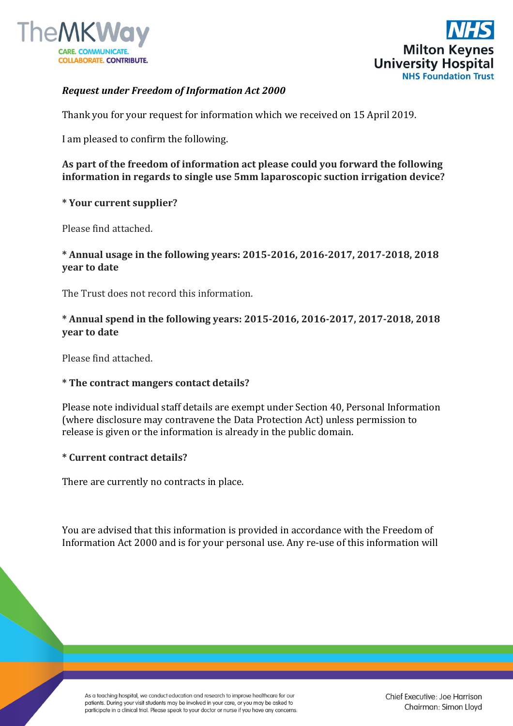



## *Request under Freedom of Information Act 2000*

Thank you for your request for information which we received on 15 April 2019.

I am pleased to confirm the following.

**As part of the freedom of information act please could you forward the following information in regards to single use 5mm laparoscopic suction irrigation device?**

#### **\* Your current supplier?**

Please find attached.

# **\* Annual usage in the following years: 2015-2016, 2016-2017, 2017-2018, 2018 year to date**

The Trust does not record this information.

# **\* Annual spend in the following years: 2015-2016, 2016-2017, 2017-2018, 2018 year to date**

Please find attached.

## **\* The contract mangers contact details?**

Please note individual staff details are exempt under Section 40, Personal Information (where disclosure may contravene the Data Protection Act) unless permission to release is given or the information is already in the public domain.

#### **\* Current contract details?**

There are currently no contracts in place.

You are advised that this information is provided in accordance with the Freedom of Information Act 2000 and is for your personal use. Any re-use of this information will